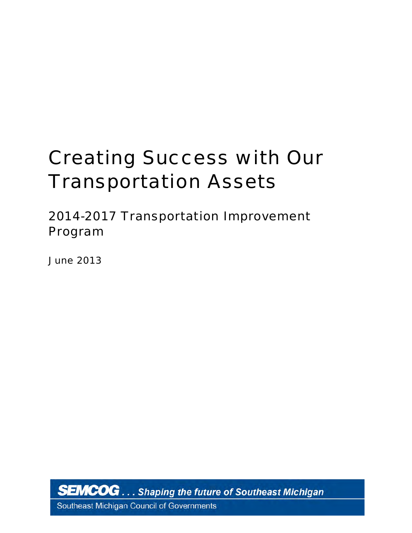# Creating Success with Our Transportation Assets

2014-2017 Transportation Improvement Program

June 2013

**SEMCOG** . . . Shaping the future of Southeast Michigan Southeast Michigan Council of Governments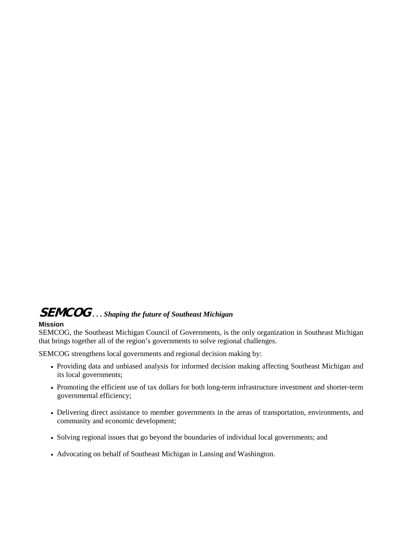# SEMCOG*. . . Shaping the future of Southeast Michigan*

#### **Mission**

SEMCOG, the Southeast Michigan Council of Governments, is the only organization in Southeast Michigan that brings together all of the region's governments to solve regional challenges.

SEMCOG strengthens local governments and regional decision making by:

- Providing data and unbiased analysis for informed decision making affecting Southeast Michigan and its local governments;
- Promoting the efficient use of tax dollars for both long-term infrastructure investment and shorter-term governmental efficiency;
- Delivering direct assistance to member governments in the areas of transportation, environments, and community and economic development;
- Solving regional issues that go beyond the boundaries of individual local governments; and
- Advocating on behalf of Southeast Michigan in Lansing and Washington.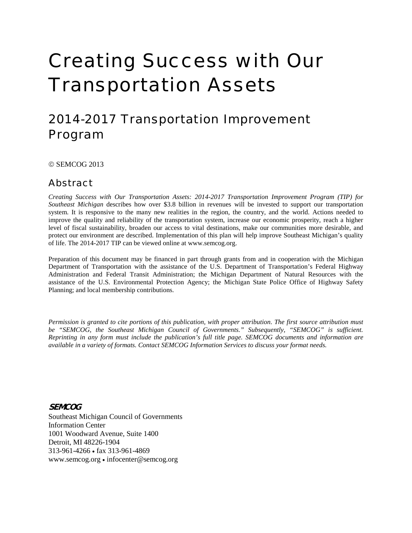# Creating Success with Our Transportation Assets

# 2014-2017 Transportation Improvement Program

© SEMCOG 2013

### Abstract

*Creating Success with Our Transportation Assets: 2014-2017 Transportation Improvement Program (TIP) for Southeast Michigan* describes how over \$3.8 billion in revenues will be invested to support our transportation system. It is responsive to the many new realities in the region, the country, and the world. Actions needed to improve the quality and reliability of the transportation system, increase our economic prosperity, reach a higher level of fiscal sustainability, broaden our access to vital destinations, make our communities more desirable, and protect our environment are described. Implementation of this plan will help improve Southeast Michigan's quality of life. The 2014-2017 TIP can be viewed online at www.semcog.org.

Preparation of this document may be financed in part through grants from and in cooperation with the Michigan Department of Transportation with the assistance of the U.S. Department of Transportation's Federal Highway Administration and Federal Transit Administration; the Michigan Department of Natural Resources with the assistance of the U.S. Environmental Protection Agency; the Michigan State Police Office of Highway Safety Planning; and local membership contributions.

*Permission is granted to cite portions of this publication, with proper attribution. The first source attribution must be "SEMCOG, the Southeast Michigan Council of Governments." Subsequently, "SEMCOG" is sufficient. Reprinting in any form must include the publication's full title page. SEMCOG documents and information are available in a variety of formats. Contact SEMCOG Information Services to discuss your format needs.*

#### **SEMCOG**

Southeast Michigan Council of Governments Information Center 1001 Woodward Avenue, Suite 1400 Detroit, MI 48226-1904 313-961-4266 • fax 313-961-4869 www.semcog.org • infocenter@semcog.org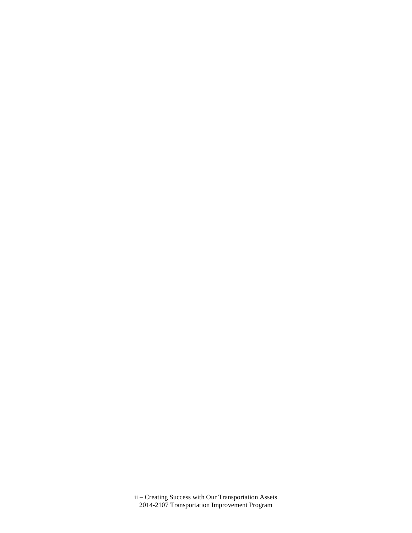ii – Creating Success with Our Transportation Assets 2014-2107 Transportation Improvement Program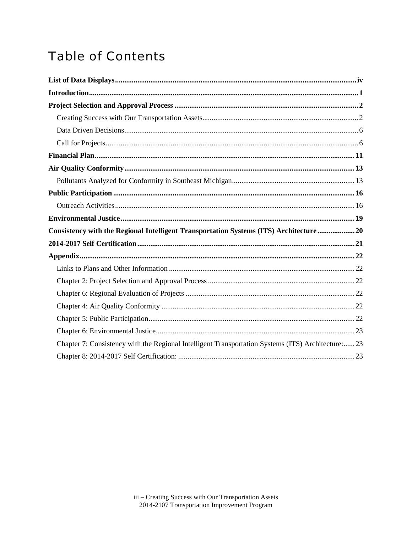# **Table of Contents**

| Consistency with the Regional Intelligent Transportation Systems (ITS) Architecture  20           |  |
|---------------------------------------------------------------------------------------------------|--|
|                                                                                                   |  |
|                                                                                                   |  |
|                                                                                                   |  |
|                                                                                                   |  |
|                                                                                                   |  |
|                                                                                                   |  |
|                                                                                                   |  |
|                                                                                                   |  |
| Chapter 7: Consistency with the Regional Intelligent Transportation Systems (ITS) Architecture:23 |  |
|                                                                                                   |  |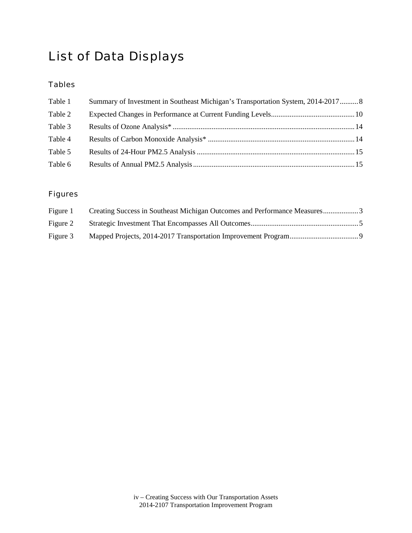# <span id="page-5-0"></span>List of Data Displays

#### Tables

| Table 1 | Summary of Investment in Southeast Michigan's Transportation System, 2014-2017 8 |  |
|---------|----------------------------------------------------------------------------------|--|
| Table 2 |                                                                                  |  |
| Table 3 |                                                                                  |  |
| Table 4 |                                                                                  |  |
| Table 5 |                                                                                  |  |
| Table 6 |                                                                                  |  |

## Figures

| Figure 1 | Creating Success in Southeast Michigan Outcomes and Performance Measures3 |  |
|----------|---------------------------------------------------------------------------|--|
| Figure 2 |                                                                           |  |
| Figure 3 |                                                                           |  |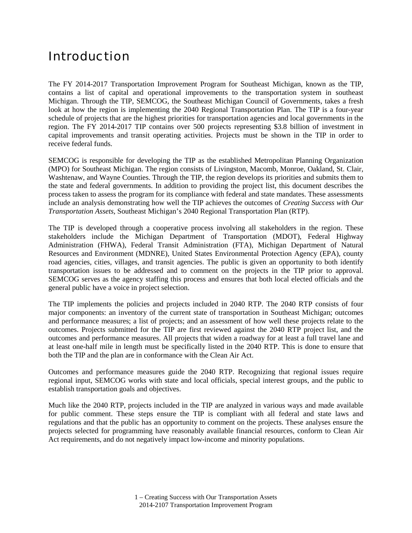# <span id="page-6-0"></span>Introduction

The FY 2014-2017 Transportation Improvement Program for Southeast Michigan, known as the TIP, contains a list of capital and operational improvements to the transportation system in southeast Michigan. Through the TIP, SEMCOG, the Southeast Michigan Council of Governments, takes a fresh look at how the region is implementing the 2040 Regional Transportation Plan. The TIP is a four-year schedule of projects that are the highest priorities for transportation agencies and local governments in the region. The FY 2014-2017 TIP contains over 500 projects representing \$3.8 billion of investment in capital improvements and transit operating activities. Projects must be shown in the TIP in order to receive federal funds.

SEMCOG is responsible for developing the TIP as the established Metropolitan Planning Organization (MPO) for Southeast Michigan. The region consists of Livingston, Macomb, Monroe, Oakland, St. Clair, Washtenaw, and Wayne Counties. Through the TIP, the region develops its priorities and submits them to the state and federal governments. In addition to providing the project list, this document describes the process taken to assess the program for its compliance with federal and state mandates. These assessments include an analysis demonstrating how well the TIP achieves the outcomes of *Creating Success with Our Transportation Assets*, Southeast Michigan's 2040 Regional Transportation Plan (RTP).

The TIP is developed through a cooperative process involving all stakeholders in the region. These stakeholders include the Michigan Department of Transportation (MDOT), Federal Highway Administration (FHWA), Federal Transit Administration (FTA), Michigan Department of Natural Resources and Environment (MDNRE), United States Environmental Protection Agency (EPA), county road agencies, cities, villages, and transit agencies. The public is given an opportunity to both identify transportation issues to be addressed and to comment on the projects in the TIP prior to approval. SEMCOG serves as the agency staffing this process and ensures that both local elected officials and the general public have a voice in project selection.

The TIP implements the policies and projects included in 2040 RTP. The 2040 RTP consists of four major components: an inventory of the current state of transportation in Southeast Michigan; outcomes and performance measures; a list of projects; and an assessment of how well these projects relate to the outcomes. Projects submitted for the TIP are first reviewed against the 2040 RTP project list, and the outcomes and performance measures. All projects that widen a roadway for at least a full travel lane and at least one-half mile in length must be specifically listed in the 2040 RTP. This is done to ensure that both the TIP and the plan are in conformance with the Clean Air Act.

Outcomes and performance measures guide the 2040 RTP. Recognizing that regional issues require regional input, SEMCOG works with state and local officials, special interest groups, and the public to establish transportation goals and objectives.

Much like the 2040 RTP, projects included in the TIP are analyzed in various ways and made available for public comment. These steps ensure the TIP is compliant with all federal and state laws and regulations and that the public has an opportunity to comment on the projects. These analyses ensure the projects selected for programming have reasonably available financial resources, conform to Clean Air Act requirements, and do not negatively impact low-income and minority populations.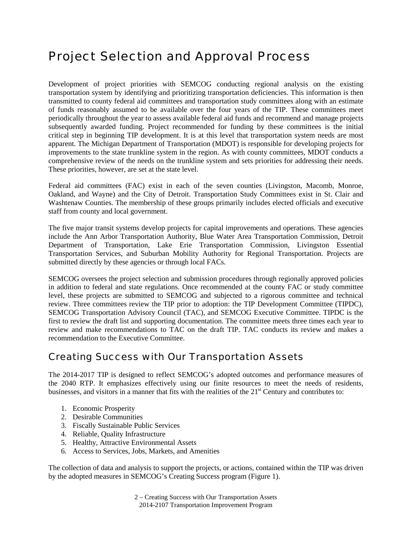# <span id="page-7-0"></span>Project Selection and Approval Process

Development of project priorities with SEMCOG conducting regional analysis on the existing transportation system by identifying and prioritizing transportation deficiencies. This information is then transmitted to county federal aid committees and transportation study committees along with an estimate of funds reasonably assumed to be available over the four years of the TIP. These committees meet periodically throughout the year to assess available federal aid funds and recommend and manage projects subsequently awarded funding. Project recommended for funding by these committees is the initial critical step in beginning TIP development. It is at this level that transportation system needs are most apparent. The Michigan Department of Transportation (MDOT) is responsible for developing projects for improvements to the state trunkline system in the region. As with county committees, MDOT conducts a comprehensive review of the needs on the trunkline system and sets priorities for addressing their needs. These priorities, however, are set at the state level.

Federal aid committees (FAC) exist in each of the seven counties (Livingston, Macomb, Monroe, Oakland, and Wayne) and the City of Detroit. Transportation Study Committees exist in St. Clair and Washtenaw Counties. The membership of these groups primarily includes elected officials and executive staff from county and local government.

The five major transit systems develop projects for capital improvements and operations. These agencies include the Ann Arbor Transportation Authority, Blue Water Area Transportation Commission, Detroit Department of Transportation, Lake Erie Transportation Commission, Livingston Essential Transportation Services, and Suburban Mobility Authority for Regional Transportation. Projects are submitted directly by these agencies or through local FACs.

SEMCOG oversees the project selection and submission procedures through regionally approved policies in addition to federal and state regulations. Once recommended at the county FAC or study committee level, these projects are submitted to SEMCOG and subjected to a rigorous committee and technical review. Three committees review the TIP prior to adoption: the TIP Development Committee (TIPDC), SEMCOG Transportation Advisory Council (TAC), and SEMCOG Executive Committee. TIPDC is the first to review the draft list and supporting documentation. The committee meets three times each year to review and make recommendations to TAC on the draft TIP. TAC conducts its review and makes a recommendation to the Executive Committee.

### <span id="page-7-1"></span>Creating Success with Our Transportation Assets

The 2014-2017 TIP is designed to reflect SEMCOG's adopted outcomes and performance measures of the 2040 RTP. It emphasizes effectively using our finite resources to meet the needs of residents, businesses, and visitors in a manner that fits with the realities of the  $21<sup>st</sup>$  Century and contributes to:

- 1. Economic Prosperity
- 2. Desirable Communities
- 3. Fiscally Sustainable Public Services
- 4. Reliable, Quality Infrastructure
- 5. Healthy, Attractive Environmental Assets
- 6. Access to Services, Jobs, Markets, and Amenities

The collection of data and analysis to support the projects, or actions, contained within the TIP was driven by the adopted measures in SEMCOG's Creating Success program (Figure 1).

> 2 – Creating Success with Our Transportation Assets 2014-2107 Transportation Improvement Program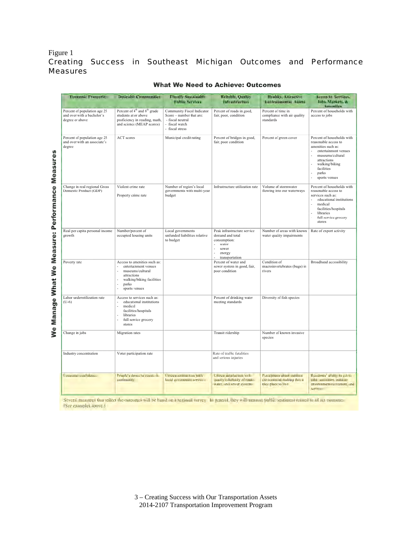#### <span id="page-8-0"></span>Figure 1

#### Creating Success in Southeast Michigan Outcomes and Performance Measures

| Economic Prospectry                                                           | Desirable Communities                                                                                                                                                | <b>Fiveally Sustainable</b><br><b>Public Services</b>                                                           | <b>Reliable, Quality</b><br><b>Infrastructure</b>                                                                                           | Healthy, Attractive<br><b>Edvlemmental Assets</b>                            | Access to Services.<br>Jobs, Markets, &<br><b>Amenities</b>                                                                                                                                   |
|-------------------------------------------------------------------------------|----------------------------------------------------------------------------------------------------------------------------------------------------------------------|-----------------------------------------------------------------------------------------------------------------|---------------------------------------------------------------------------------------------------------------------------------------------|------------------------------------------------------------------------------|-----------------------------------------------------------------------------------------------------------------------------------------------------------------------------------------------|
| Percent of population age 25<br>and over with a bachelor's<br>degree or above | Percent of $4th$ and $8th$ grade<br>students at or above<br>proficiency in reading, math,<br>and science (MEAP scores)                                               | Community Fiscal Indicator<br>Score - number that are:<br>- fiscal neutral<br>- fiscal watch<br>- fiscal stress | Percent of roads in good,<br>fair, poor, condition                                                                                          | Percent of time in<br>compliance with air quality<br>standards               | Percent of households with<br>access to jobs                                                                                                                                                  |
| Percent of population age 25<br>and over with an associate's<br>degree        | ACT scores                                                                                                                                                           | Municipal credit rating                                                                                         | Percent of bridges in good,<br>fair, poor condition                                                                                         | Percent of green cover                                                       | Percent of households with<br>reasonable access to<br>amenities such as:<br>entertainment venues<br>museums/cultural<br>attractions<br>walking/biking<br>facilities<br>parks<br>sports venues |
| Change in real regional Gross<br>Domestic Product (GDP)                       | Violent crime rate<br>Property crime rate                                                                                                                            | Number of region's local<br>governments with multi-year<br>budget                                               | Infrastructure utilization rate                                                                                                             | Volume of stormwater<br>flowing into our waterways                           | Percent of households with<br>reasonable access to<br>services such as:<br>educational institutions<br>medical<br>facilities/hospitals<br>libraries<br>full service grocery<br>stores         |
| Real per capita personal income<br>growth                                     | Number/percent of<br>occupied housing units                                                                                                                          | Local governments<br>unfunded liabilities relative<br>to budget                                                 | Peak infrastructure service<br>demand and total<br>consumption:<br>water<br>ä,<br>×.<br>sewer<br>$\overline{a}$<br>energy<br>transportation | Number of areas with known<br>water quality impairments                      | Rate of export activity                                                                                                                                                                       |
| Poverty rate                                                                  | Access to amenities such as:<br>entertainment venues<br>٠<br>÷<br>museums/cultural<br>attractions<br>walking/biking facilities<br>parks<br>i,<br>i,<br>sports venues |                                                                                                                 | Percent of water and<br>sewer system in good, fair,<br>poor condition                                                                       | Condition of<br>macroinvertebrates (bugs) in<br>rivers                       | Broadband accessibility                                                                                                                                                                       |
| Labor underutilization rate<br>$(U-6)$                                        | Access to services such as:<br>educational institutions<br>medical<br>facilities/hospitals<br>libraries<br>÷,<br>full service grocery<br>stores                      |                                                                                                                 | Percent of drinking water<br>meeting standards                                                                                              | Diversity of fish species                                                    |                                                                                                                                                                                               |
| Change in jobs                                                                | Migration rates                                                                                                                                                      |                                                                                                                 | Transit ridership                                                                                                                           | Number of known invasive<br>species                                          |                                                                                                                                                                                               |
| Industry concentration                                                        | Voter participation rate                                                                                                                                             |                                                                                                                 | Rate of traffic fatalities<br>and serious injuries                                                                                          |                                                                              |                                                                                                                                                                                               |
| <b>Unnsumer</b> confidence                                                    | People's destre to reside in<br>community                                                                                                                            | <b>Uthzen</b> satisfaction with<br>local government services.                                                   | Utizen satisfaction with<br>quality/cohibility of ruads.<br>water, and sewer systems                                                        | Perceptions about outdoor<br>environment making this a<br>nice place to live | Residents' anility to get to<br>jobs amenibes, onliner<br>environment/recreation, and<br><b>SCIVICES</b>                                                                                      |

#### **What We Need to Achieve: Outcomes**

Several measures that reflect the concomes will be based on a regional survey. In general, they will measure public sentiment retated to all six moreone-(See examples above.)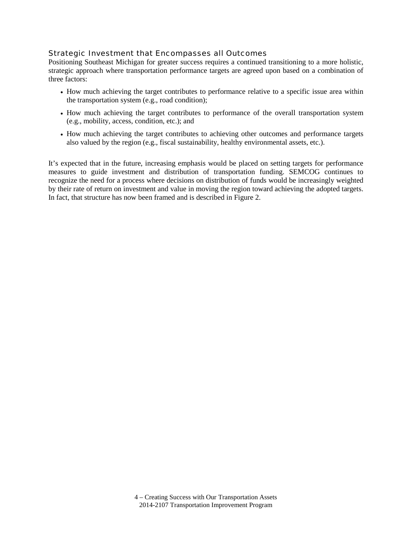#### Strategic Investment that Encompasses all Outcomes

Positioning Southeast Michigan for greater success requires a continued transitioning to a more holistic, strategic approach where transportation performance targets are agreed upon based on a combination of three factors:

- How much achieving the target contributes to performance relative to a specific issue area within the transportation system (e.g., road condition);
- How much achieving the target contributes to performance of the overall transportation system (e.g., mobility, access, condition, etc.); and
- How much achieving the target contributes to achieving other outcomes and performance targets also valued by the region (e.g., fiscal sustainability, healthy environmental assets, etc.).

It's expected that in the future, increasing emphasis would be placed on setting targets for performance measures to guide investment and distribution of transportation funding. SEMCOG continues to recognize the need for a process where decisions on distribution of funds would be increasingly weighted by their rate of return on investment and value in moving the region toward achieving the adopted targets. In fact, that structure has now been framed and is described in Figure 2.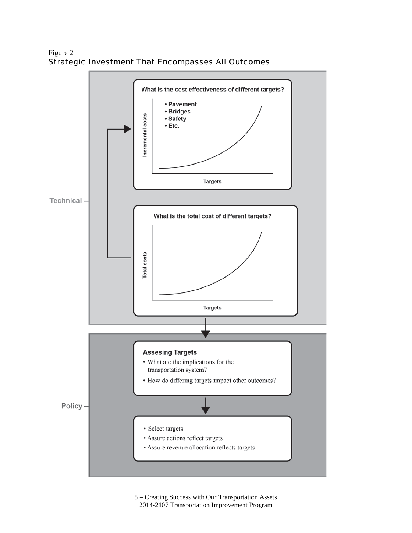<span id="page-10-0"></span>Figure 2 Strategic Investment That Encompasses All Outcomes



5 – Creating Success with Our Transportation Assets 2014-2107 Transportation Improvement Program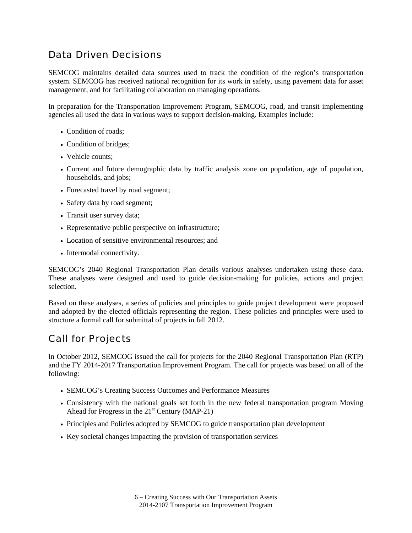### <span id="page-11-0"></span>Data Driven Decisions

SEMCOG maintains detailed data sources used to track the condition of the region's transportation system. SEMCOG has received national recognition for its work in safety, using pavement data for asset management, and for facilitating collaboration on managing operations.

In preparation for the Transportation Improvement Program, SEMCOG, road, and transit implementing agencies all used the data in various ways to support decision-making. Examples include:

- Condition of roads:
- Condition of bridges;
- Vehicle counts:
- Current and future demographic data by traffic analysis zone on population, age of population, households, and jobs;
- Forecasted travel by road segment;
- Safety data by road segment;
- Transit user survey data;
- Representative public perspective on infrastructure;
- Location of sensitive environmental resources; and
- Intermodal connectivity.

SEMCOG's 2040 Regional Transportation Plan details various analyses undertaken using these data. These analyses were designed and used to guide decision-making for policies, actions and project selection.

Based on these analyses, a series of policies and principles to guide project development were proposed and adopted by the elected officials representing the region. These policies and principles were used to structure a formal call for submittal of projects in fall 2012.

### <span id="page-11-1"></span>Call for Projects

In October 2012, SEMCOG issued the call for projects for the 2040 Regional Transportation Plan (RTP) and the FY 2014-2017 Transportation Improvement Program. The call for projects was based on all of the following:

- SEMCOG's Creating Success Outcomes and Performance Measures
- Consistency with the national goals set forth in the new federal transportation program Moving Ahead for Progress in the  $21<sup>st</sup>$  Century (MAP-21)
- Principles and Policies adopted by SEMCOG to guide transportation plan development
- Key societal changes impacting the provision of transportation services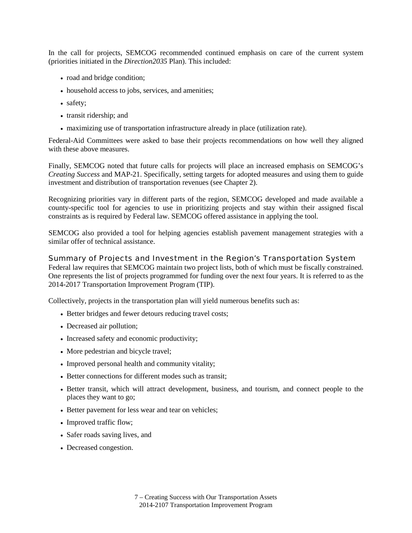In the call for projects, SEMCOG recommended continued emphasis on care of the current system (priorities initiated in the *Direction2035* Plan). This included:

- road and bridge condition;
- household access to jobs, services, and amenities;
- safety;
- transit ridership; and
- maximizing use of transportation infrastructure already in place (utilization rate).

Federal-Aid Committees were asked to base their projects recommendations on how well they aligned with these above measures.

Finally, SEMCOG noted that future calls for projects will place an increased emphasis on SEMCOG's *Creating Success* and MAP-21. Specifically, setting targets for adopted measures and using them to guide investment and distribution of transportation revenues (see Chapter 2).

Recognizing priorities vary in different parts of the region, SEMCOG developed and made available a county-specific tool for agencies to use in prioritizing projects and stay within their assigned fiscal constraints as is required by Federal law. SEMCOG offered assistance in applying the tool.

SEMCOG also provided a tool for helping agencies establish pavement management strategies with a similar offer of technical assistance.

#### Summary of Projects and Investment in the Region's Transportation System

Federal law requires that SEMCOG maintain two project lists, both of which must be fiscally constrained. One represents the list of projects programmed for funding over the next four years. It is referred to as the 2014-2017 Transportation Improvement Program (TIP).

Collectively, projects in the transportation plan will yield numerous benefits such as:

- Better bridges and fewer detours reducing travel costs;
- Decreased air pollution;
- Increased safety and economic productivity;
- More pedestrian and bicycle travel;
- Improved personal health and community vitality;
- Better connections for different modes such as transit;
- Better transit, which will attract development, business, and tourism, and connect people to the places they want to go;
- Better pavement for less wear and tear on vehicles;
- Improved traffic flow;
- Safer roads saving lives, and
- Decreased congestion.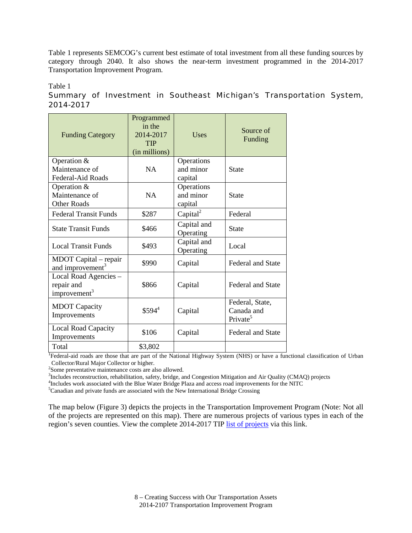Table 1 represents SEMCOG's current best estimate of total investment from all these funding sources by category through 2040. It also shows the near-term investment programmed in the 2014-2017 Transportation Improvement Program.

<span id="page-13-0"></span>Table 1

|           |  |  | Summary of Investment in Southeast Michigan's Transportation System, |  |
|-----------|--|--|----------------------------------------------------------------------|--|
| 2014-2017 |  |  |                                                                      |  |

| <b>Funding Category</b>                                         | Programmed<br>in the<br>2014-2017<br><b>TIP</b><br>(in millions) | Uses                               | Source of<br>Funding                                  |
|-----------------------------------------------------------------|------------------------------------------------------------------|------------------------------------|-------------------------------------------------------|
| Operation &<br>Maintenance of<br><b>Federal-Aid Roads</b>       | NA                                                               | Operations<br>and minor<br>capital | State                                                 |
| Operation &<br>Maintenance of<br><b>Other Roads</b>             | NA                                                               | Operations<br>and minor<br>capital | State                                                 |
| <b>Federal Transit Funds</b>                                    | \$287                                                            | Capital <sup>2</sup>               | Federal                                               |
| <b>State Transit Funds</b>                                      | \$466                                                            | Capital and<br>Operating           | State                                                 |
| <b>Local Transit Funds</b>                                      | \$493                                                            | Capital and<br>Operating           | Local                                                 |
| MDOT Capital - repair<br>and improvement <sup>3</sup>           | \$990                                                            | Capital                            | <b>Federal and State</b>                              |
| Local Road Agencies –<br>repair and<br>improvement <sup>3</sup> | \$866                                                            | Capital                            | <b>Federal and State</b>                              |
| <b>MDOT</b> Capacity<br>Improvements                            | $$594^4$                                                         | Capital                            | Federal, State,<br>Canada and<br>Private <sup>5</sup> |
| <b>Local Road Capacity</b><br>Improvements                      | \$106                                                            | Capital                            | <b>Federal and State</b>                              |
| Total                                                           | \$3,802                                                          |                                    |                                                       |

<sup>1</sup>Federal-aid roads are those that are part of the National Highway System (NHS) or have a functional classification of Urban Collector/Rural Major Collector or higher.

 $\frac{25}{3}$ Some preventative maintenance costs are also allowed.

Includes reconstruction, rehabilitation, safety, bridge, and Congestion Mitigation and Air Quality (CMAQ) projects  $4<sup>4</sup>$  related with the Blue Water Bridge Plaza and access road improvements for the NITC

 $\rm{^{4}Includes}$  work associated with the Blue Water Bridge Plaza and access road improvements for the NITC  $\rm{^{5}C}$  and an improvement for the NITC

 ${}^{5}$ Canadian and private funds are associated with the New International Bridge Crossing

The map below (Figure 3) depicts the projects in the Transportation Improvement Program (Note: Not all of the projects are represented on this map). There are numerous projects of various types in each of the region's seven counties. View the complete 2014-2017 TIP [list of projects](http://www.semcog.org/uploadedFiles/Programs_and_Projects/Planning/Long_Range_Transportation_Plan/AttachmentA_SEMCOG_TIP_20130603.pdf) via this link.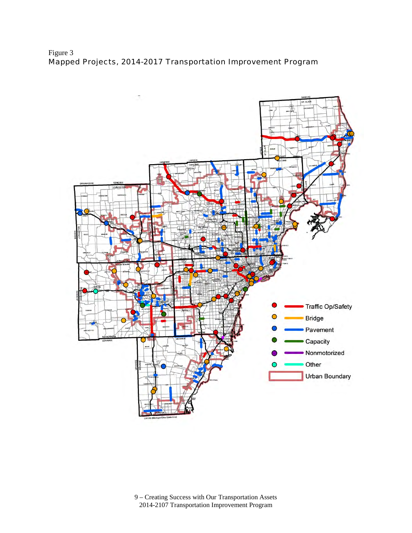<span id="page-14-0"></span>Figure 3 Mapped Projects, 2014-2017 Transportation Improvement Program

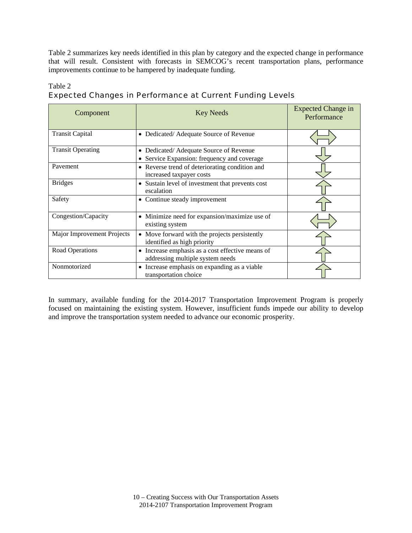Table 2 summarizes key needs identified in this plan by category and the expected change in performance that will result. Consistent with forecasts in SEMCOG's recent transportation plans, performance improvements continue to be hampered by inadequate funding.

| Component                  | <b>Key Needs</b>                                                                      | <b>Expected Change in</b><br>Performance |
|----------------------------|---------------------------------------------------------------------------------------|------------------------------------------|
| <b>Transit Capital</b>     | • Dedicated/Adequate Source of Revenue                                                |                                          |
| <b>Transit Operating</b>   | • Dedicated/Adequate Source of Revenue<br>• Service Expansion: frequency and coverage |                                          |
| Pavement                   | • Reverse trend of deteriorating condition and<br>increased taxpayer costs            |                                          |
| <b>Bridges</b>             | • Sustain level of investment that prevents cost<br>escalation                        |                                          |
| Safety                     | • Continue steady improvement                                                         |                                          |
| Congestion/Capacity        | • Minimize need for expansion/maximize use of<br>existing system                      |                                          |
| Major Improvement Projects | • Move forward with the projects persistently<br>identified as high priority          |                                          |
| Road Operations            | Increase emphasis as a cost effective means of<br>addressing multiple system needs    |                                          |
| Nonmotorized               | • Increase emphasis on expanding as a viable<br>transportation choice                 |                                          |

#### <span id="page-15-0"></span>Table 2 Expected Changes in Performance at Current Funding Levels

In summary, available funding for the 2014-2017 Transportation Improvement Program is properly focused on maintaining the existing system. However, insufficient funds impede our ability to develop and improve the transportation system needed to advance our economic prosperity.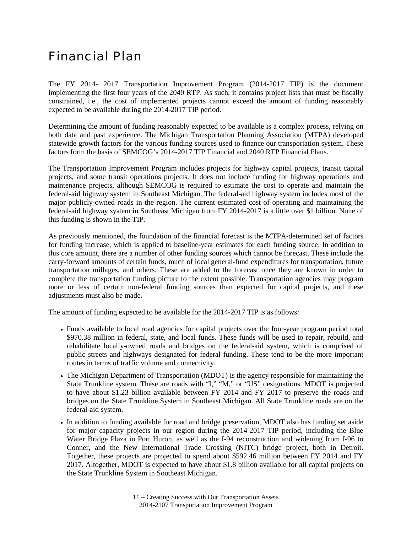# <span id="page-16-0"></span>Financial Plan

The FY 2014- 2017 Transportation Improvement Program (2014-2017 TIP) is the document implementing the first four years of the 2040 RTP. As such, it contains project lists that must be fiscally constrained, i.e., the cost of implemented projects cannot exceed the amount of funding reasonably expected to be available during the 2014-2017 TIP period.

Determining the amount of funding reasonably expected to be available is a complex process, relying on both data and past experience. The Michigan Transportation Planning Association (MTPA) developed statewide growth factors for the various funding sources used to finance our transportation system. These factors form the basis of SEMCOG's 2014-2017 TIP Financial and 2040 RTP Financial Plans.

The Transportation Improvement Program includes projects for highway capital projects, transit capital projects, and some transit operations projects. It does not include funding for highway operations and maintenance projects, although SEMCOG is required to estimate the cost to operate and maintain the federal-aid highway system in Southeast Michigan. The federal-aid highway system includes most of the major publicly-owned roads in the region. The current estimated cost of operating and maintaining the federal-aid highway system in Southeast Michigan from FY 2014-2017 is a little over \$1 billion. None of this funding is shown in the TIP.

As previously mentioned, the foundation of the financial forecast is the MTPA-determined set of factors for funding increase, which is applied to baseline-year estimates for each funding source. In addition to this core amount, there are a number of other funding sources which cannot be forecast. These include the carry-forward amounts of certain funds, much of local general-fund expenditures for transportation, future transportation millages, and others. These are added to the forecast once they are known in order to complete the transportation funding picture to the extent possible. Transportation agencies may program more or less of certain non-federal funding sources than expected for capital projects, and these adjustments must also be made.

The amount of funding expected to be available for the 2014-2017 TIP is as follows:

- Funds available to local road agencies for capital projects over the four-year program period total \$970.38 million in federal, state, and local funds. These funds will be used to repair, rebuild, and rehabilitate locally-owned roads and bridges on the federal-aid system, which is comprised of public streets and highways designated for federal funding. These tend to be the more important routes in terms of traffic volume and connectivity.
- The Michigan Department of Transportation (MDOT) is the agency responsible for maintaining the State Trunkline system. These are roads with "I," "M," or "US" designations. MDOT is projected to have about \$1.23 billion available between FY 2014 and FY 2017 to preserve the roads and bridges on the State Trunkline System in Southeast Michigan. All State Trunkline roads are on the federal-aid system.
- In addition to funding available for road and bridge preservation, MDOT also has funding set aside for major capacity projects in our region during the 2014-2017 TIP period, including the Blue Water Bridge Plaza in Port Huron, as well as the I-94 reconstruction and widening from I-96 to Conner, and the New International Trade Crossing (NITC) bridge project, both in Detroit. Together, these projects are projected to spend about \$592.46 million between FY 2014 and FY 2017. Altogether, MDOT is expected to have about \$1.8 billion available for all capital projects on the State Trunkline System in Southeast Michigan.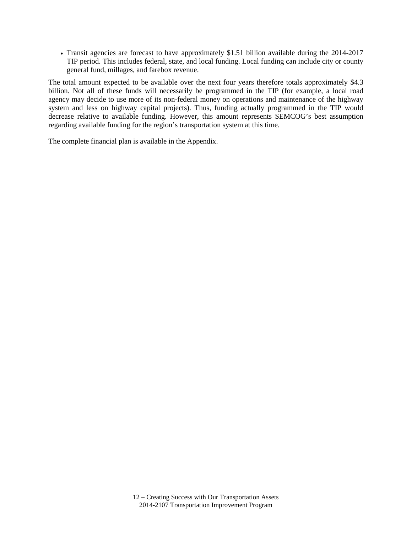• Transit agencies are forecast to have approximately \$1.51 billion available during the 2014-2017 TIP period. This includes federal, state, and local funding. Local funding can include city or county general fund, millages, and farebox revenue.

The total amount expected to be available over the next four years therefore totals approximately \$4.3 billion. Not all of these funds will necessarily be programmed in the TIP (for example, a local road agency may decide to use more of its non-federal money on operations and maintenance of the highway system and less on highway capital projects). Thus, funding actually programmed in the TIP would decrease relative to available funding. However, this amount represents SEMCOG's best assumption regarding available funding for the region's transportation system at this time.

The complete financial plan is available in the Appendix.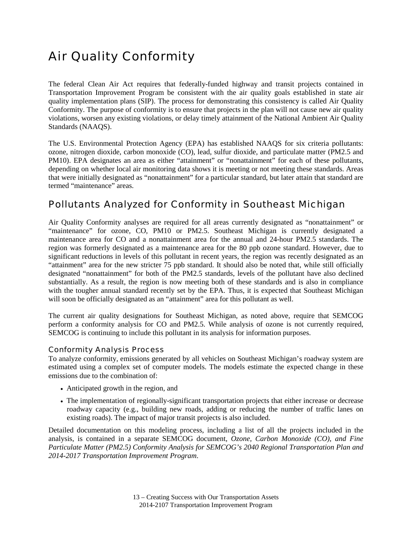# <span id="page-18-0"></span>Air Quality Conformity

The federal Clean Air Act requires that federally-funded highway and transit projects contained in Transportation Improvement Program be consistent with the air quality goals established in state air quality implementation plans (SIP). The process for demonstrating this consistency is called Air Quality Conformity. The purpose of conformity is to ensure that projects in the plan will not cause new air quality violations, worsen any existing violations, or delay timely attainment of the National Ambient Air Quality Standards (NAAQS).

The U.S. Environmental Protection Agency (EPA) has established NAAQS for six criteria pollutants: ozone, nitrogen dioxide, carbon monoxide (CO), lead, sulfur dioxide, and particulate matter (PM2.5 and PM10). EPA designates an area as either "attainment" or "nonattainment" for each of these pollutants, depending on whether local air monitoring data shows it is meeting or not meeting these standards. Areas that were initially designated as "nonattainment" for a particular standard, but later attain that standard are termed "maintenance" areas.

## <span id="page-18-1"></span>Pollutants Analyzed for Conformity in Southeast Michigan

Air Quality Conformity analyses are required for all areas currently designated as "nonattainment" or "maintenance" for ozone, CO, PM10 or PM2.5. Southeast Michigan is currently designated a maintenance area for CO and a nonattainment area for the annual and 24-hour PM2.5 standards. The region was formerly designated as a maintenance area for the 80 ppb ozone standard. However, due to significant reductions in levels of this pollutant in recent years, the region was recently designated as an "attainment" area for the new stricter 75 ppb standard. It should also be noted that, while still officially designated "nonattainment" for both of the PM2.5 standards, levels of the pollutant have also declined substantially. As a result, the region is now meeting both of these standards and is also in compliance with the tougher annual standard recently set by the EPA. Thus, it is expected that Southeast Michigan will soon be officially designated as an "attainment" area for this pollutant as well.

The current air quality designations for Southeast Michigan, as noted above, require that SEMCOG perform a conformity analysis for CO and PM2.5. While analysis of ozone is not currently required, SEMCOG is continuing to include this pollutant in its analysis for information purposes.

#### Conformity Analysis Process

To analyze conformity, emissions generated by all vehicles on Southeast Michigan's roadway system are estimated using a complex set of computer models. The models estimate the expected change in these emissions due to the combination of:

- Anticipated growth in the region, and
- The implementation of regionally-significant transportation projects that either increase or decrease roadway capacity (e.g., building new roads, adding or reducing the number of traffic lanes on existing roads). The impact of major transit projects is also included.

Detailed documentation on this modeling process, including a list of all the projects included in the analysis, is contained in a separate SEMCOG document, *Ozone, Carbon Monoxide (CO), and Fine Particulate Matter (PM2.5) Conformity Analysis for SEMCOG's 2040 Regional Transportation Plan and 2014-2017 Transportation Improvement Program*.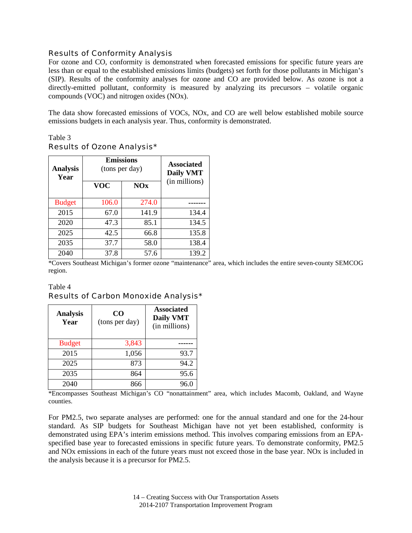#### Results of Conformity Analysis

For ozone and CO, conformity is demonstrated when forecasted emissions for specific future years are less than or equal to the established emissions limits (budgets) set forth for those pollutants in Michigan's (SIP). Results of the conformity analyses for ozone and CO are provided below. As ozone is not a directly-emitted pollutant, conformity is measured by analyzing its precursors – volatile organic compounds (VOC) and nitrogen oxides (NOx).

The data show forecasted emissions of VOCs, NOx, and CO are well below established mobile source emissions budgets in each analysis year. Thus, conformity is demonstrated.

#### <span id="page-19-0"></span>Table 3 Results of Ozone Analysis\*

| <b>Analysis</b><br>Year | <b>Emissions</b><br>(tons per day) | <b>Associated</b><br><b>Daily VMT</b> |               |
|-------------------------|------------------------------------|---------------------------------------|---------------|
|                         | <b>VOC</b>                         | <b>NOx</b>                            | (in millions) |
| <b>Budget</b>           | 106.0                              | 274.0                                 |               |
| 2015                    | 67.0                               | 141.9                                 | 134.4         |
| 2020                    | 47.3                               | 85.1                                  | 134.5         |
| 2025                    | 42.5                               | 66.8                                  | 135.8         |
| 2035                    | 37.7                               | 58.0                                  | 138.4         |
| 2040                    | 37.8                               | 57.6                                  | 139.2         |

\*Covers Southeast Michigan's former ozone "maintenance" area, which includes the entire seven-county SEMCOG region.

#### <span id="page-19-1"></span>Table 4

#### Results of Carbon Monoxide Analysis\*

| <b>Analysis</b><br>Year | $\bf CO$<br>(tons per day) | <b>Associated</b><br><b>Daily VMT</b><br>(in millions) |
|-------------------------|----------------------------|--------------------------------------------------------|
| <b>Budget</b>           | 3,843                      |                                                        |
| 2015                    | 1,056                      | 93.7                                                   |
| 2025                    | 873                        | 94.2                                                   |
| 2035                    | 864                        | 95.6                                                   |
| 2040                    | 866                        | 96.0                                                   |

\*Encompasses Southeast Michigan's CO "nonattainment" area, which includes Macomb, Oakland, and Wayne counties.

For PM2.5, two separate analyses are performed: one for the annual standard and one for the 24-hour standard. As SIP budgets for Southeast Michigan have not yet been established, conformity is demonstrated using EPA's interim emissions method. This involves comparing emissions from an EPAspecified base year to forecasted emissions in specific future years. To demonstrate conformity, PM2.5 and NOx emissions in each of the future years must not exceed those in the base year. NOx is included in the analysis because it is a precursor for PM2.5.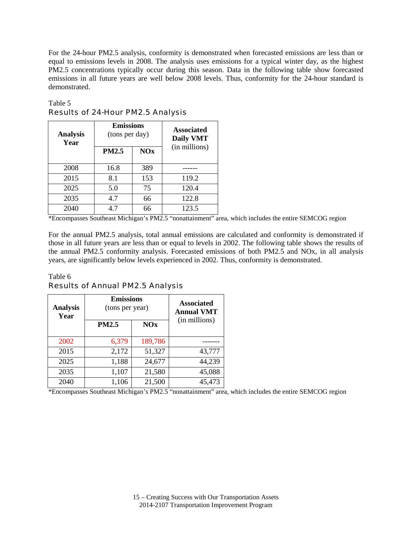For the 24-hour PM2.5 analysis, conformity is demonstrated when forecasted emissions are less than or equal to emissions levels in 2008. The analysis uses emissions for a typical winter day, as the highest PM2.5 concentrations typically occur during this season. Data in the following table show forecasted emissions in all future years are well below 2008 levels. Thus, conformity for the 24-hour standard is demonstrated.

<span id="page-20-0"></span>

| Table 5                                  |  |  |
|------------------------------------------|--|--|
| <b>Results of 24-Hour PM2.5 Analysis</b> |  |  |

| <b>Analysis</b><br>Year | <b>Emissions</b><br>(tons per day) |     | <b>Associated</b><br><b>Daily VMT</b> |  |
|-------------------------|------------------------------------|-----|---------------------------------------|--|
|                         | <b>PM2.5</b><br>NOx                |     | (in millions)                         |  |
| 2008                    | 16.8                               | 389 |                                       |  |
| 2015                    | 8.1                                | 153 | 119.2                                 |  |
| 2025                    | 5.0                                | 75  | 120.4                                 |  |
| 2035                    | 4.7                                | 66  | 122.8                                 |  |
| 2040                    | 47                                 | 66  | 123.5                                 |  |

\*Encompasses Southeast Michigan's PM2.5 "nonattainment" area, which includes the entire SEMCOG region

For the annual PM2.5 analysis, total annual emissions are calculated and conformity is demonstrated if those in all future years are less than or equal to levels in 2002. The following table shows the results of the annual PM2.5 conformity analysis. Forecasted emissions of both PM2.5 and NOx, in all analysis years, are significantly below levels experienced in 2002. Thus, conformity is demonstrated.

<span id="page-20-1"></span>Table 6 Results of Annual PM2.5 Analysis

| <b>Analysis</b><br>Year | <b>Emissions</b><br>(tons per year) | <b>Associated</b><br><b>Annual VMT</b> |               |
|-------------------------|-------------------------------------|----------------------------------------|---------------|
|                         | <b>PM2.5</b>                        | <b>NOx</b>                             | (in millions) |
| 2002                    | 6,379                               | 189,786                                |               |
| 2015                    | 2,172                               | 51,327                                 | 43,777        |
| 2025                    | 1,188                               | 24,677                                 | 44,239        |
| 2035                    | 1,107                               | 21,580                                 | 45,088        |
| 2040                    | 1,106                               | 21,500                                 | 45,473        |

\*Encompasses Southeast Michigan's PM2.5 "nonattainment" area, which includes the entire SEMCOG region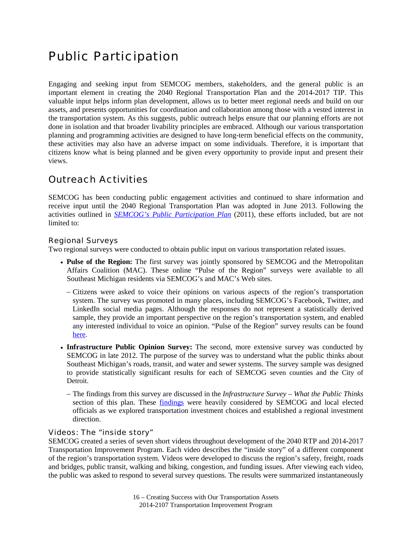# <span id="page-21-0"></span>Public Participation

Engaging and seeking input from SEMCOG members, stakeholders, and the general public is an important element in creating the 2040 Regional Transportation Plan and the 2014-2017 TIP. This valuable input helps inform plan development, allows us to better meet regional needs and build on our assets, and presents opportunities for coordination and collaboration among those with a vested interest in the transportation system. As this suggests, public outreach helps ensure that our planning efforts are not done in isolation and that broader livability principles are embraced. Although our various transportation planning and programming activities are designed to have long-term beneficial effects on the community, these activities may also have an adverse impact on some individuals. Therefore, it is important that citizens know what is being planned and be given every opportunity to provide input and present their views.

### <span id="page-21-1"></span>Outreach Activities

SEMCOG has been conducting public engagement activities and continued to share information and receive input until the 2040 Regional Transportation Plan was adopted in June 2013. Following the activities outlined in *[SEMCOG's Public Participation Plan](http://library.semcog.org/InmagicGenie/DocumentFolder/PublicParticipationPlan2011.pdf)* (2011), these efforts included, but are not limited to:

#### Regional Surveys

Two regional surveys were conducted to obtain public input on various transportation related issues.

- **Pulse of the Region:** The first survey was jointly sponsored by SEMCOG and the Metropolitan Affairs Coalition (MAC). These online "Pulse of the Region" surveys were available to all Southeast Michigan residents via SEMCOG's and MAC's Web sites.
	- − Citizens were asked to voice their opinions on various aspects of the region's transportation system. The survey was promoted in many places, including SEMCOG's Facebook, Twitter, and LinkedIn social media pages. Although the responses do not represent a statistically derived sample, they provide an important perspective on the region's transportation system, and enabled any interested individual to voice an opinion. "Pulse of the Region" survey results can be found [here.](http://smcg.informz.net/SMCG/archives/archive_2787687.html)
- **Infrastructure Public Opinion Survey:** The second, more extensive survey was conducted by SEMCOG in late 2012. The purpose of the survey was to understand what the public thinks about Southeast Michigan's roads, transit, and water and sewer systems. The survey sample was designed to provide statistically significant results for each of SEMCOG seven counties and the City of Detroit.
	- − The findings from this survey are discussed in the *Infrastructure Survey – What the Public Thinks*  section of this plan. These [findings](http://www.semcog.org/Sustainability_Infrastructure.aspx) were heavily considered by SEMCOG and local elected officials as we explored transportation investment choices and established a regional investment direction.

#### Videos: The "inside story"

SEMCOG created a series of seven short videos throughout development of the 2040 RTP and 2014-2017 Transportation Improvement Program. Each video describes the "inside story" of a different component of the region's transportation system. Videos were developed to discuss the region's safety, freight, roads and bridges, public transit, walking and biking, congestion, and funding issues. After viewing each video, the public was asked to respond to several survey questions. The results were summarized instantaneously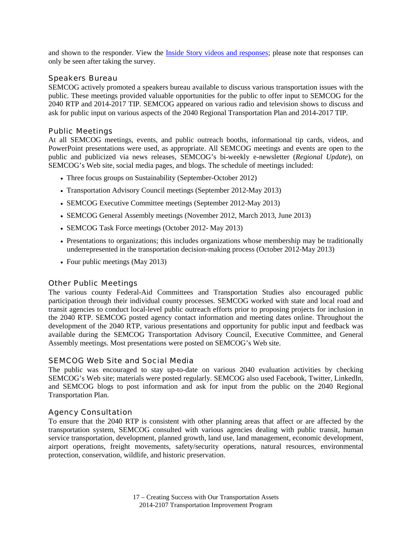and shown to the responder. View the [Inside Story videos and responses;](http://www.semcog.org/2040RTP_Videos.aspx) please note that responses can only be seen after taking the survey.

#### Speakers Bureau

SEMCOG actively promoted a speakers bureau available to discuss various transportation issues with the public. These meetings provided valuable opportunities for the public to offer input to SEMCOG for the 2040 RTP and 2014-2017 TIP. SEMCOG appeared on various radio and television shows to discuss and ask for public input on various aspects of the 2040 Regional Transportation Plan and 2014-2017 TIP.

#### Public Meetings

At all SEMCOG meetings, events, and public outreach booths, informational tip cards, videos, and PowerPoint presentations were used, as appropriate. All SEMCOG meetings and events are open to the public and publicized via news releases, SEMCOG's bi-weekly e-newsletter (*Regional Update*), on SEMCOG's Web site, social media pages, and blogs. The schedule of meetings included:

- Three focus groups on Sustainability (September-October 2012)
- Transportation Advisory Council meetings (September 2012-May 2013)
- SEMCOG Executive Committee meetings (September 2012-May 2013)
- SEMCOG General Assembly meetings (November 2012, March 2013, June 2013)
- SEMCOG Task Force meetings (October 2012- May 2013)
- Presentations to organizations; this includes organizations whose membership may be traditionally underrepresented in the transportation decision-making process (October 2012-May 2013)
- Four public meetings (May 2013)

#### Other Public Meetings

The various county Federal-Aid Committees and Transportation Studies also encouraged public participation through their individual county processes. SEMCOG worked with state and local road and transit agencies to conduct local-level public outreach efforts prior to proposing projects for inclusion in the 2040 RTP. SEMCOG posted agency contact information and meeting dates online. Throughout the development of the 2040 RTP, various presentations and opportunity for public input and feedback was available during the SEMCOG Transportation Advisory Council, Executive Committee, and General Assembly meetings. Most presentations were posted on SEMCOG's Web site.

#### SEMCOG Web Site and Social Media

The public was encouraged to stay up-to-date on various 2040 evaluation activities by checking SEMCOG's Web site; materials were posted regularly. SEMCOG also used Facebook, Twitter, LinkedIn, and SEMCOG blogs to post information and ask for input from the public on the 2040 Regional Transportation Plan.

#### Agency Consultation

To ensure that the 2040 RTP is consistent with other planning areas that affect or are affected by the transportation system, SEMCOG consulted with various agencies dealing with public transit, human service transportation, development, planned growth, land use, land management, economic development, airport operations, freight movements, safety/security operations, natural resources, environmental protection, conservation, wildlife, and historic preservation.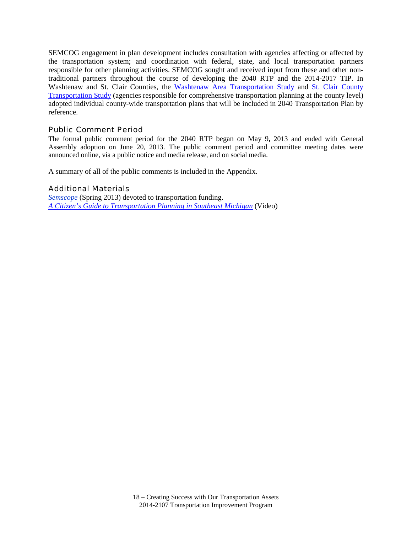SEMCOG engagement in plan development includes consultation with agencies affecting or affected by the transportation system; and coordination with federal, state, and local transportation partners responsible for other planning activities. SEMCOG sought and received input from these and other nontraditional partners throughout the course of developing the 2040 RTP and the 2014-2017 TIP. In Washtenaw and St. Clair Counties, the [Washtenaw Area Transportation Study](http://www.miwats.org/) and [St. Clair County](http://www.stclaircounty.org/Offices/metro/LRTP.aspx)  [Transportation Study](http://www.stclaircounty.org/Offices/metro/LRTP.aspx) (agencies responsible for comprehensive transportation planning at the county level) adopted individual county-wide transportation plans that will be included in 2040 Transportation Plan by reference.

#### Public Comment Period

The formal public comment period for the 2040 RTP began on May 9**,** 2013 and ended with General Assembly adoption on June 20, 2013. The public comment period and committee meeting dates were announced online, via a public notice and media release, and on social media.

A summary of all of the public comments is included in the Appendix.

#### Additional Materials

*[Semscope](http://www.semcog.org/Semscope/SEMscope_Spring%202013/index.html#/1/)* (Spring 2013) devoted to transportation funding. *[A Citizen's Guide to Transportation Planning in Southeast Michigan](http://www.youtube.com/watch?v=UCY1SbtBhS4&list=UUr0wxe2H-pgsBP8ag_HPNHQ&index=1&feature=plcp)* (Video)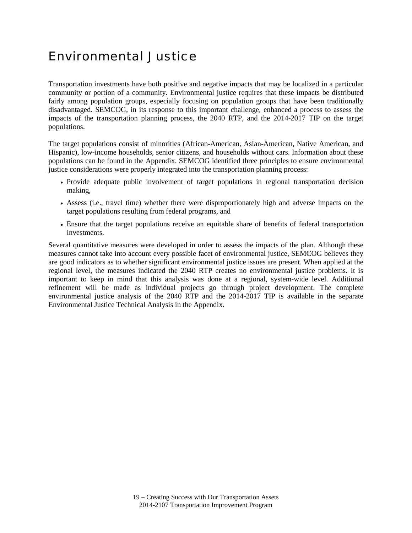# <span id="page-24-0"></span>Environmental Justice

Transportation investments have both positive and negative impacts that may be localized in a particular community or portion of a community. Environmental justice requires that these impacts be distributed fairly among population groups, especially focusing on population groups that have been traditionally disadvantaged. SEMCOG, in its response to this important challenge, enhanced a process to assess the impacts of the transportation planning process, the 2040 RTP, and the 2014-2017 TIP on the target populations.

The target populations consist of minorities (African-American, Asian-American, Native American, and Hispanic), low-income households, senior citizens, and households without cars. Information about these populations can be found in the Appendix. SEMCOG identified three principles to ensure environmental justice considerations were properly integrated into the transportation planning process:

- Provide adequate public involvement of target populations in regional transportation decision making,
- Assess (i.e., travel time) whether there were disproportionately high and adverse impacts on the target populations resulting from federal programs, and
- Ensure that the target populations receive an equitable share of benefits of federal transportation investments.

Several quantitative measures were developed in order to assess the impacts of the plan. Although these measures cannot take into account every possible facet of environmental justice, SEMCOG believes they are good indicators as to whether significant environmental justice issues are present. When applied at the regional level, the measures indicated the 2040 RTP creates no environmental justice problems. It is important to keep in mind that this analysis was done at a regional, system-wide level. Additional refinement will be made as individual projects go through project development. The complete environmental justice analysis of the 2040 RTP and the 2014-2017 TIP is available in the separate Environmental Justice Technical Analysis in the Appendix.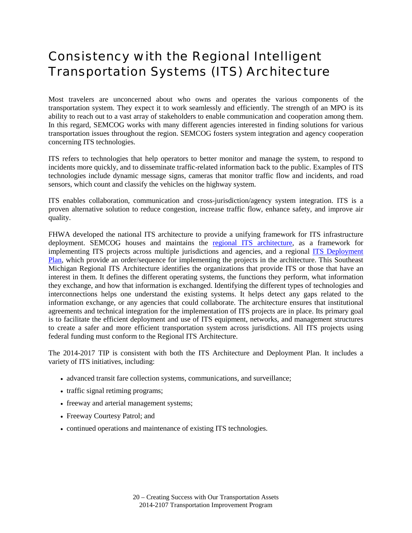# <span id="page-25-0"></span>Consistency with the Regional Intelligent Transportation Systems (ITS) Architecture

Most travelers are unconcerned about who owns and operates the various components of the transportation system. They expect it to work seamlessly and efficiently. The strength of an MPO is its ability to reach out to a vast array of stakeholders to enable communication and cooperation among them. In this regard, SEMCOG works with many different agencies interested in finding solutions for various transportation issues throughout the region. SEMCOG fosters system integration and agency cooperation concerning ITS technologies.

ITS refers to technologies that help operators to better monitor and manage the system, to respond to incidents more quickly, and to disseminate traffic-related information back to the public. Examples of ITS technologies include dynamic message signs, cameras that monitor traffic flow and incidents, and road sensors, which count and classify the vehicles on the highway system.

ITS enables collaboration, communication and cross-jurisdiction/agency system integration. ITS is a proven alternative solution to reduce congestion, increase traffic flow, enhance safety, and improve air quality.

FHWA developed the national ITS architecture to provide a unifying framework for ITS infrastructure deployment. SEMCOG houses and maintains the [regional ITS architecture,](http://www.semcog.org/ITS_Architecture.aspx) as a framework for implementing ITS projects across multiple jurisdictions and agencies, and a regional ITS Deployment [Plan,](http://www.semcog.org/ITS_DeploymentPlan.aspx) which provide an order/sequence for implementing the projects in the architecture. This Southeast Michigan Regional ITS Architecture identifies the organizations that provide ITS or those that have an interest in them. It defines the different operating systems, the functions they perform, what information they exchange, and how that information is exchanged. Identifying the different types of technologies and interconnections helps one understand the existing systems. It helps detect any gaps related to the information exchange, or any agencies that could collaborate. The architecture ensures that institutional agreements and technical integration for the implementation of ITS projects are in place. Its primary goal is to facilitate the efficient deployment and use of ITS equipment, networks, and management structures to create a safer and more efficient transportation system across jurisdictions. All ITS projects using federal funding must conform to the Regional ITS Architecture.

The 2014-2017 TIP is consistent with both the ITS Architecture and Deployment Plan. It includes a variety of ITS initiatives, including:

- advanced transit fare collection systems, communications, and surveillance;
- traffic signal retiming programs;
- freeway and arterial management systems;
- Freeway Courtesy Patrol; and
- continued operations and maintenance of existing ITS technologies.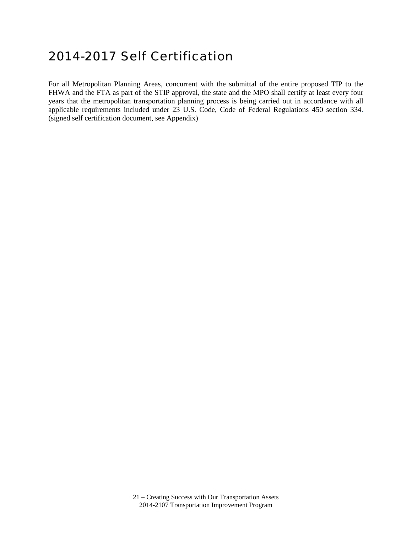# <span id="page-26-0"></span>2014-2017 Self Certification

For all Metropolitan Planning Areas, concurrent with the submittal of the entire proposed TIP to the FHWA and the FTA as part of the STIP approval, the state and the MPO shall certify at least every four years that the metropolitan transportation planning process is being carried out in accordance with all applicable requirements included under 23 U.S. Code, Code of Federal Regulations 450 section 334. (signed self certification document, see Appendix)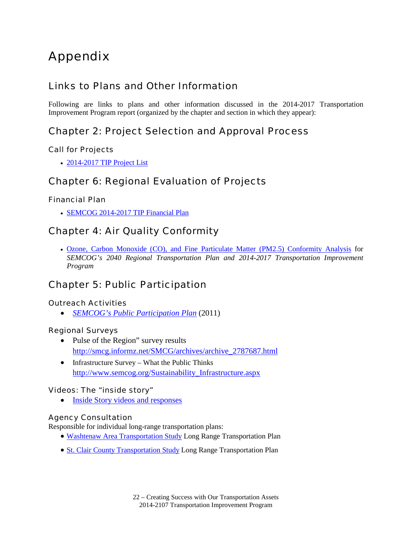# <span id="page-27-0"></span>Appendix

## <span id="page-27-1"></span>Links to Plans and Other Information

Following are links to plans and other information discussed in the 2014-2017 Transportation Improvement Program report (organized by the chapter and section in which they appear):

### <span id="page-27-2"></span>Chapter 2: Project Selection and Approval Process

#### Call for Projects

• [2014-2017 TIP Project List](http://www.semcog.org/uploadedFiles/Programs_and_Projects/Planning/Long_Range_Transportation_Plan/AttachmentA_SEMCOG_TIP_20130603.pdf)

## <span id="page-27-3"></span>Chapter 6: Regional Evaluation of Projects

#### Financial Plan

• [SEMCOG 2014-2017](http://www.semcog.org/uploadedFiles/Programs_and_Projects/Planning/Long_Range_Transportation_Plan/Financial%20Plan.SEMCOG%202040%20RTP.pdf) TIP Financial Plan

## <span id="page-27-4"></span>Chapter 4: Air Quality Conformity

• [Ozone, Carbon Monoxide \(CO\), and Fine Particulate Matter \(PM2.5\) Conformity Analysis](http://www.semcog.org/uploadedFiles/Programs_and_Projects/Planning/Long_Range_Transportation_Plan/Air%20Quality%20Conformity%20Documentation.pdf) for *SEMCOG's 2040 Regional Transportation Plan and 2014-2017 Transportation Improvement Program*

### <span id="page-27-5"></span>Chapter 5: Public Participation

#### Outreach Activities

• *[SEMCOG's Public Participation Plan](http://library.semcog.org/InmagicGenie/DocumentFolder/PublicParticipationPlan2011.pdf)* (2011)

#### Regional Surveys

- Pulse of the Region" survey results [http://smcg.informz.net/SMCG/archives/archive\\_2787687.html](http://smcg.informz.net/SMCG/archives/archive_2787687.html)
- Infrastructure Survey What the Public Thinks [http://www.semcog.org/Sustainability\\_Infrastructure.aspx](http://www.semcog.org/Sustainability_Infrastructure.aspx)

#### Videos: The "inside story"

• [Inside Story videos and responses](http://www.semcog.org/2040RTP_Videos.aspx)

#### Agency Consultation

Responsible for individual long-range transportation plans:

- [Washtenaw Area Transportation Study](http://www.miwats.org/) Long Range Transportation Plan
- [St. Clair County Transportation Study](http://www.stclaircounty.org/Offices/metro/LRTP.aspx) Long Range Transportation Plan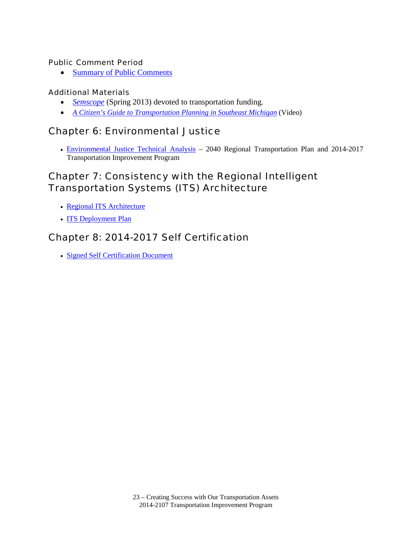#### Public Comment Period

• [Summary of Public Comments](http://www.semcog.org/uploadedFiles/Programs_and_Projects/Planning/Long_Range_Transportation_Plan/RTP%20Memo%20from%20Paul%20to%20GA.pdf)

#### Additional Materials

- *[Semscope](http://www.semcog.org/Semscope/SEMscope_Spring%202013/index.html#/1/)* (Spring 2013) devoted to transportation funding.
- *[A Citizen's Guide to Transportation Planning in Southeast Michigan](http://www.youtube.com/watch?v=UCY1SbtBhS4&list=UUr0wxe2H-pgsBP8ag_HPNHQ&index=1&feature=plcp)* (Video)

### <span id="page-28-0"></span>Chapter 6: Environmental Justice

• [Environmental Justice Technical Analysis](http://www.semcog.org/uploadedFiles/Programs_and_Projects/Planning/Long_Range_Transportation_Plan/Environmental%20Justice%20Tech%20Analysis%202.pdf) – 2040 Regional Transportation Plan and 2014-2017 Transportation Improvement Program

### <span id="page-28-1"></span>Chapter 7: Consistency with the Regional Intelligent Transportation Systems (ITS) Architecture

- [Regional ITS Architecture](http://www.semcog.org/ITS_Architecture.aspx)
- [ITS Deployment Plan](http://www.semcog.org/ITS_DeploymentPlan.aspx)

### <span id="page-28-2"></span>Chapter 8: 2014-2017 Self Certification

• [Signed Self Certification Document](http://www.semcog.org/uploadedFiles/Programs_and_Projects/Planning/Long_Range_Transportation_Plan/PlanningProcessCertification2.pdf)